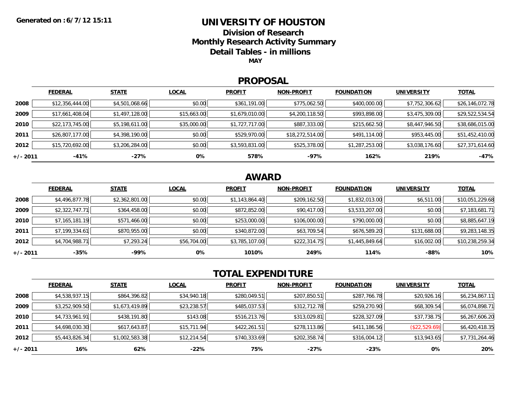### **UNIVERSITY OF HOUSTON**

**Division of Research**

**Monthly Research Activity Summary**

**Detail Tables - in millions**

**MAY**

#### **PROPOSAL**

|            | <b>FEDERAL</b>  | <b>STATE</b>   | <b>LOCAL</b> | <b>PROFIT</b>  | <b>NON-PROFIT</b> | <b>FOUNDATION</b> | <b>UNIVERSITY</b> | <b>TOTAL</b>    |
|------------|-----------------|----------------|--------------|----------------|-------------------|-------------------|-------------------|-----------------|
| 2008       | \$12,356,444.00 | \$4,501,068.66 | \$0.00       | \$361,191.00   | \$775,062.50      | \$400,000.00      | \$7,752,306.62    | \$26,146,072.78 |
| 2009       | \$17,661,408.04 | \$1,497,128.00 | \$15,663.00  | \$1,679,010.00 | \$4,200,118.50    | \$993,898.00      | \$3,475,309.00    | \$29,522,534.54 |
| 2010       | \$22,173,745.00 | \$5,198,611.00 | \$35,000.00  | \$1,727,717.00 | \$887,333.00      | \$215,662.50      | \$8,447,946.50    | \$38,686,015.00 |
| 2011       | \$26,807,177.00 | \$4,398,190.00 | \$0.00       | \$529,970.00   | \$18,272,514.00   | \$491,114.00      | \$953,445.00      | \$51,452,410.00 |
| 2012       | \$15,720,692.00 | \$3,206,284.00 | \$0.00       | \$3,593,831.00 | \$525,378.00      | \$1,287,253.00    | \$3,038,176.60    | \$27,371,614.60 |
| $+/- 2011$ | -41%            | -27%           | 0%           | 578%           | -97%              | 162%              | 219%              | $-47%$          |

## **AWARD**

|            | <b>FEDERAL</b> | <b>STATE</b>   | <b>LOCAL</b> | <b>PROFIT</b>  | <b>NON-PROFIT</b> | <b>FOUNDATION</b> | <b>UNIVERSITY</b> | <b>TOTAL</b>    |
|------------|----------------|----------------|--------------|----------------|-------------------|-------------------|-------------------|-----------------|
| 2008       | \$4,496,877.78 | \$2,362,801.00 | \$0.00       | \$1,143,864.40 | \$209,162.50      | \$1,832,013.00    | \$6,511.00        | \$10,051,229.68 |
| 2009       | \$2,322,747.71 | \$364,458.00   | \$0.00       | \$872,852.00   | \$90,417.00       | \$3,533,207.00    | \$0.00            | \$7,183,681.71  |
| 2010       | \$7,165,181.19 | \$571,466.00   | \$0.00       | \$253,000.00   | \$106,000.00      | \$790,000.00      | \$0.00            | \$8,885,647.19  |
| 2011       | \$7,199,334.61 | \$870,955.00   | \$0.00       | \$340,872.00   | \$63,709.54       | \$676,589.20      | \$131,688.00      | \$9,283,148.35  |
| 2012       | \$4,704,988.71 | \$7,293.24     | \$56,704.00  | \$3,785,107.00 | \$222,314.75      | \$1,445,849.64    | \$16,002.00       | \$10,238,259.34 |
| $+/- 2011$ | $-35%$         | -99%           | 0%           | 1010%          | 249%              | 114%              | $-88%$            | 10%             |

# **TOTAL EXPENDITURE**

|          | <b>FEDERAL</b> | <b>STATE</b>   | <b>LOCAL</b> | <b>PROFIT</b> | <b>NON-PROFIT</b> | <b>FOUNDATION</b> | <b>UNIVERSITY</b> | <u>TOTAL</u>   |
|----------|----------------|----------------|--------------|---------------|-------------------|-------------------|-------------------|----------------|
| 2008     | \$4,538,937.15 | \$864,396.82   | \$34,940.18  | \$280,049.51  | \$207,850.51      | \$287,766.78      | \$20,926.16       | \$6,234,867.11 |
| 2009     | \$3,252,909.50 | \$1,673,419.89 | \$23,238.57  | \$485,037.53  | \$312,712.78      | \$259,270.90      | \$68,309.54       | \$6,074,898.71 |
| 2010     | \$4,733,961.91 | \$438,191.80   | \$143.08     | \$516,213.76  | \$313,029.81      | \$228,327.09      | \$37,738.75       | \$6,267,606.20 |
| 2011     | \$4,698,030.30 | \$617,643.87   | \$15,711.94  | \$422,261.51  | \$278,113.86      | \$411,186.56      | (\$22,529.69)     | \$6,420,418.35 |
| 2012     | \$5,443,826.34 | \$1,002,583.38 | \$12,214.54  | \$740,333.69  | \$202,358.74      | \$316,004.12      | \$13,943.65       | \$7,731,264.46 |
| +/- 2011 | 16%            | 62%            | -22%         | 75%           | $-27%$            | $-23%$            | 0%                | 20%            |